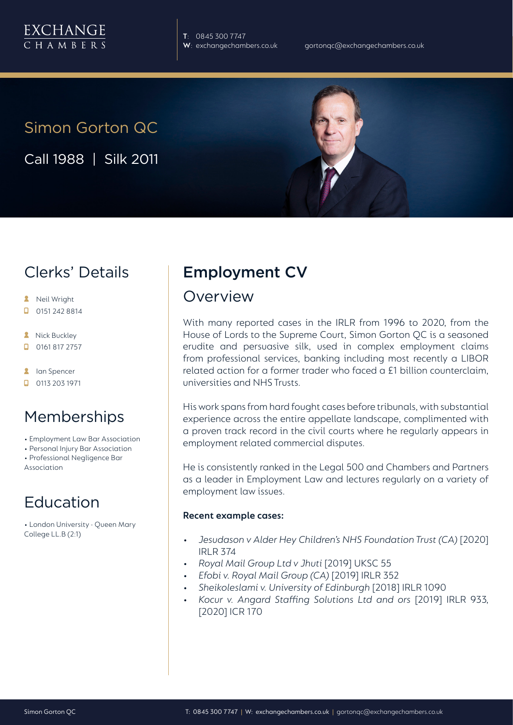

**T**: 0845 300 7747

# Simon Gorton QC

Call 1988 | Silk 2011

# Clerks' Details

- **A** Neil Wright
- $\Box$  0151 242 8814
- **A** Nick Buckley
- $\Box$ 0161 817 2757
- **A** lan Spencer
- $\Box$  0113 203 1971

## Memberships

- Employment Law Bar Association
- Personal Injury Bar Association
- Professional Negligence Bar Association

# Education

• London University - Queen Mary College LL.B (2:1)

# Employment CV

## Overview

With many reported cases in the IRLR from 1996 to 2020, from the House of Lords to the Supreme Court, Simon Gorton QC is a seasoned erudite and persuasive silk, used in complex employment claims from professional services, banking including most recently a LIBOR related action for a former trader who faced a £1 billion counterclaim, universities and NHS Trusts.

His work spans from hard fought cases before tribunals, with substantial experience across the entire appellate landscape, complimented with a proven track record in the civil courts where he regularly appears in employment related commercial disputes.

He is consistently ranked in the Legal 500 and Chambers and Partners as a leader in Employment Law and lectures regularly on a variety of employment law issues.

#### **Recent example cases:**

- *• Jesudason v Alder Hey Children's NHS Foundation Trust (CA)* [2020] IRLR 374
- *• Royal Mail Group Ltd v Jhuti* [2019] UKSC 55
- *• Efobi v. Royal Mail Group (CA)* [2019] IRLR 352
- *• Sheikoleslami v. University of Edinburgh* [2018] IRLR 1090
- *• Kocur v. Angard Staffing Solutions Ltd and ors* [2019] IRLR 933, [2020] ICR 170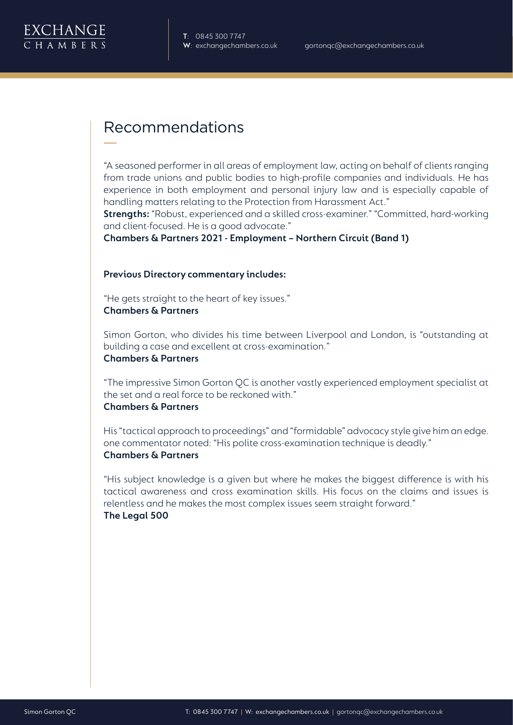

# Recommendations

"A seasoned performer in all areas of employment law, acting on behalf of clients ranging from trade unions and public bodies to high-profile companies and individuals. He has experience in both employment and personal injury law and is especially capable of handling matters relating to the Protection from Harassment Act."

**Strengths:** "Robust, experienced and a skilled cross-examiner." "Committed, hard-working and client-focused. He is a good advocate."

**Chambers & Partners 2021 - Employment – Northern Circuit (Band 1)** 

#### **Previous Directory commentary includes:**

"He gets straight to the heart of key issues." **Chambers & Partners** 

Simon Gorton, who divides his time between Liverpool and London, is "outstanding at building a case and excellent at cross-examination."

## **Chambers & Partners**

"The impressive Simon Gorton QC is another vastly experienced employment specialist at the set and a real force to be reckoned with." **Chambers & Partners**

His "tactical approach to proceedings" and "formidable" advocacy style give him an edge. one commentator noted: "His polite cross-examination technique is deadly." **Chambers & Partners**

"His subject knowledge is a given but where he makes the biggest difference is with his tactical awareness and cross examination skills. His focus on the claims and issues is relentless and he makes the most complex issues seem straight forward." **The Legal 500**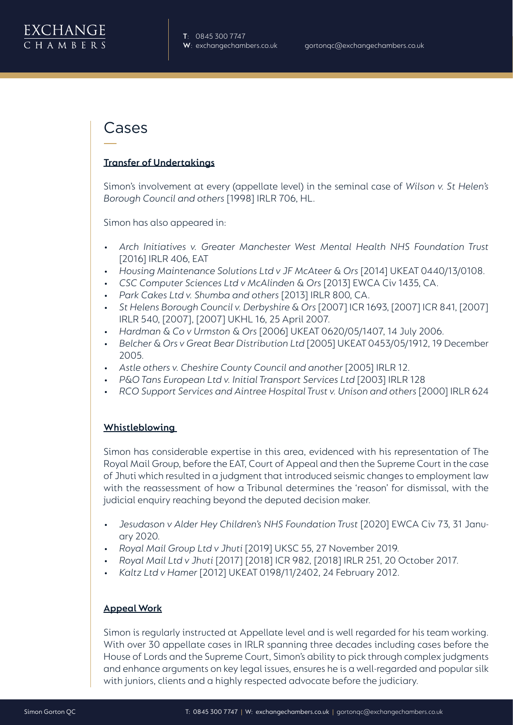## Cases

#### **Transfer of Undertakings**

Simon's involvement at every (appellate level) in the seminal case of *Wilson v. St Helen's Borough Council and others* [1998] IRLR 706, HL.

Simon has also appeared in:

- Arch Initiatives v. Greater Manchester West Mental Health NHS Foundation Trust [2016] IRLR 406, EAT
- *• Housing Maintenance Solutions Ltd v JF McAteer & Ors* [2014] UKEAT 0440/13/0108.
- *• CSC Computer Sciences Ltd v McAlinden & Ors* [2013] EWCA Civ 1435, CA.
- *• Park Cakes Ltd v. Shumba and others* [2013] IRLR 800, CA.
- *• St Helens Borough Council v. Derbyshire & Ors* [2007] ICR 1693, [2007] ICR 841, [2007] IRLR 540, [2007], [2007] UKHL 16, 25 April 2007.
- *• Hardman & Co v Urmston & Ors* [2006] UKEAT 0620/05/1407, 14 July 2006.
- *• Belcher & Ors v Great Bear Distribution Ltd* [2005] UKEAT 0453/05/1912, 19 December 2005.
- *• Astle others v. Cheshire County Council and another* [2005] IRLR 12.
- *• P&O Tans European Ltd v. Initial Transport Services Ltd* [2003] IRLR 128
- *• RCO Support Services and Aintree Hospital Trust v. Unison and others* [2000] IRLR 624

#### **Whistleblowing**

Simon has considerable expertise in this area, evidenced with his representation of The Royal Mail Group, before the EAT, Court of Appeal and then the Supreme Court in the case of Jhuti which resulted in a judgment that introduced seismic changes to employment law with the reassessment of how a Tribunal determines the 'reason' for dismissal, with the judicial enquiry reaching beyond the deputed decision maker.

- *• Jesudason v Alder Hey Children's NHS Foundation Trust* [2020] EWCA Civ 73, 31 January 2020.
- *• Royal Mail Group Ltd v Jhuti* [2019] UKSC 55, 27 November 2019.
- *• Royal Mail Ltd v Jhuti* [2017] [2018] ICR 982, [2018] IRLR 251, 20 October 2017.
- *• Kaltz Ltd v Hamer* [2012] UKEAT 0198/11/2402, 24 February 2012.

#### **Appeal Work**

Simon is regularly instructed at Appellate level and is well regarded for his team working. With over 30 appellate cases in IRLR spanning three decades including cases before the House of Lords and the Supreme Court, Simon's ability to pick through complex judgments and enhance arguments on key legal issues, ensures he is a well-regarded and popular silk with juniors, clients and a highly respected advocate before the judiciary.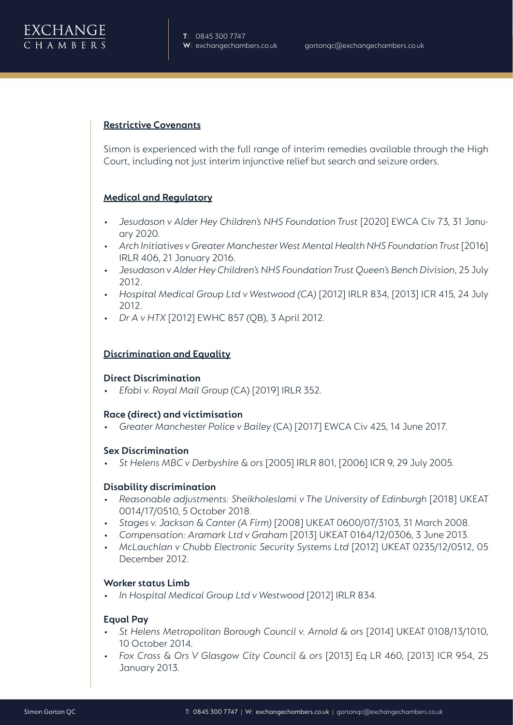

#### **Restrictive Covenants**

Simon is experienced with the full range of interim remedies available through the High Court, including not just interim injunctive relief but search and seizure orders.

#### **Medical and Regulatory**

- *• Jesudason v Alder Hey Children's NHS Foundation Trust* [2020] EWCA Civ 73, 31 January 2020.
- *• Arch Initiatives v Greater Manchester West Mental Health NHS Foundation Trust* [2016] IRLR 406, 21 January 2016.
- *• Jesudason v Alder Hey Children's NHS Foundation Trust Queen's Bench Division*, 25 July 2012.
- *• Hospital Medical Group Ltd v Westwood (CA)* [2012] IRLR 834, [2013] ICR 415, 24 July 2012.
- *• Dr A v HTX* [2012] EWHC 857 (QB), 3 April 2012.

#### **Discrimination and Equality**

#### **Direct Discrimination**

*• Efobi v. Royal Mail Group* (CA) [2019] IRLR 352.

#### **Race (direct) and victimisation**

*• Greater Manchester Police v Bailey* (CA) [2017] EWCA Civ 425, 14 June 2017.

#### **Sex Discrimination**

*• St Helens MBC v Derbyshire & ors* [2005] IRLR 801, [2006] ICR 9, 29 July 2005.

#### **Disability discrimination**

- Reasonable adjustments: Sheikholeslami v The University of Edinburgh [2018] UKEAT 0014/17/0510, 5 October 2018.
- *• Stages v. Jackson & Canter (A Firm)* [2008] UKEAT 0600/07/3103, 31 March 2008.
- *• Compensation: Aramark Ltd v Graham* [2013] UKEAT 0164/12/0306, 3 June 2013.
- *• McLauchlan v Chubb Electronic Security Systems Ltd* [2012] UKEAT 0235/12/0512, 05 December 2012.

#### **Worker status Limb**

*• In Hospital Medical Group Ltd v Westwood* [2012] IRLR 834.

#### **Equal Pay**

- *• St Helens Metropolitan Borough Council v. Arnold & ors* [2014] UKEAT 0108/13/1010, 10 October 2014.
- *• Fox Cross & Ors V Glasgow City Council & ors* [2013] Eq LR 460, [2013] ICR 954, 25 January 2013.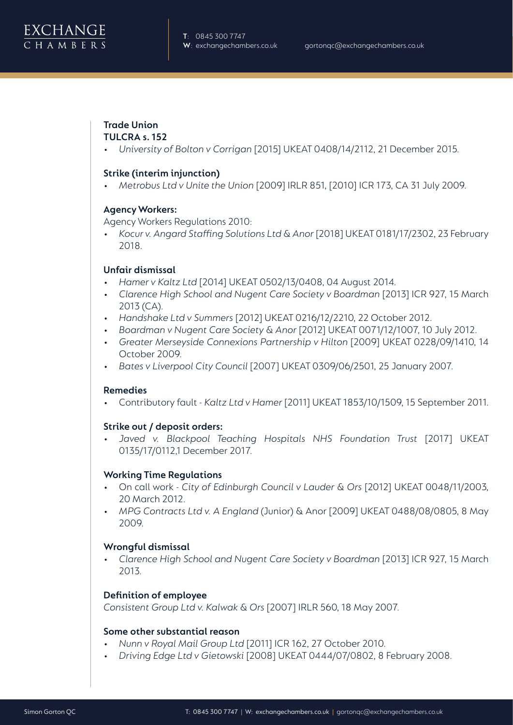

### **Trade Union**

#### **TULCRA s. 152**

*• University of Bolton v Corrigan* [2015] UKEAT 0408/14/2112, 21 December 2015.

#### **Strike (interim injunction)**

*• Metrobus Ltd v Unite the Union* [2009] IRLR 851, [2010] ICR 173, CA 31 July 2009.

#### **Agency Workers:**

Agency Workers Regulations 2010:

*• Kocur v. Angard Staffing Solutions Ltd & Anor* [2018] UKEAT 0181/17/2302, 23 February 2018.

#### **Unfair dismissal**

- *• Hamer v Kaltz Ltd* [2014] UKEAT 0502/13/0408, 04 August 2014.
- *• Clarence High School and Nugent Care Society v Boardman* [2013] ICR 927, 15 March 2013 (CA).
- *• Handshake Ltd v Summers* [2012] UKEAT 0216/12/2210, 22 October 2012.
- *• Boardman v Nugent Care Society & Anor* [2012] UKEAT 0071/12/1007, 10 July 2012.
- *• Greater Merseyside Connexions Partnership v Hilton* [2009] UKEAT 0228/09/1410, 14 October 2009.
- *• Bates v Liverpool City Council* [2007] UKEAT 0309/06/2501, 25 January 2007.

#### **Remedies**

• Contributory fault - *Kaltz Ltd v Hamer* [2011] UKEAT 1853/10/1509, 15 September 2011.

#### **Strike out / deposit orders:**

*• Javed v. Blackpool Teaching Hospitals NHS Foundation Trust* [2017] UKEAT 0135/17/0112,1 December 2017.

### **Working Time Regulations**

- On call work *City of Edinburgh Council v Lauder & Ors* [2012] UKEAT 0048/11/2003, 20 March 2012.
- *• MPG Contracts Ltd v. A England* (Junior) & Anor [2009] UKEAT 0488/08/0805, 8 May 2009.

#### **Wrongful dismissal**

*• Clarence High School and Nugent Care Society v Boardman* [2013] ICR 927, 15 March 2013.

### **Definition of employee**

*Consistent Group Ltd v. Kalwak & Ors* [2007] IRLR 560, 18 May 2007.

#### **Some other substantial reason**

- *• Nunn v Royal Mail Group Ltd* [2011] ICR 162, 27 October 2010.
- *• Driving Edge Ltd v Gietowski* [2008] UKEAT 0444/07/0802, 8 February 2008.